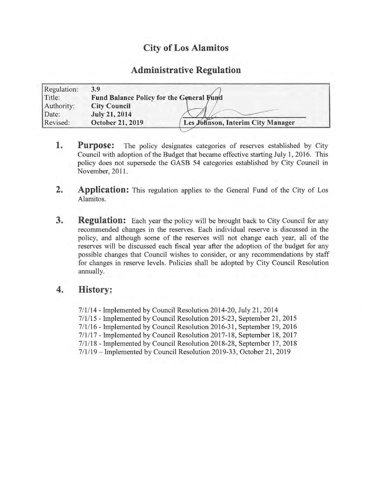# City of Los Alamitos

## Administrative Regulation

| Regulation: | 3.9                                      |                                   |
|-------------|------------------------------------------|-----------------------------------|
| Title:      | Fund Balance Policy for the General Fund |                                   |
| Authority:  | <b>City Council</b>                      |                                   |
| Date:       | <b>July 21, 2014</b>                     |                                   |
| Revised:    | October 21, 2019                         | Les Johnson, Interim City Manager |
|             |                                          |                                   |

- **1.** Purpose: The policy designates categories of reserves established by City Council with adoption of the Budget that became effective starting July 1, 2016. This policy does not supersede the GASB 54 categories established by City Council in November, 2011.
- 2. Application: This regulation applies to the General Fund of the City of Los Alamitos.
- **3.** Regulation: Each year the policy will be brought back to City Council for any recommended changes in the reserves. Each individual reserve is discussed in the policy, and although some of the reserves will not change each year, all of the reserves will be discussed each fiscal year after the adoption of the budget for any possible changes that Council wishes to consider, or any recommendations by staff for changes in reserve levels. Policies shall be adopted by City Council Resolution annually.

## 4. History:

7/1/14 - Implemented by Council Resolution 2014-20, July 21, 2014 7/1/15 - Implemented by Council Resolution 2015-23, September 21, 2015 7/ 1/ 16 - Implemented by Council Resolution 2016- 31, September 19, 2016 7/ 1/ 17 - Implemented by Council Resolution 2017- 18, September 18, 2017 7/1/18 - Implemented by Council Resolution 2018-28, September 17, 2018 7/ 1/ 19— Implemented by Council Resolution 2019- 33, October 21, 2019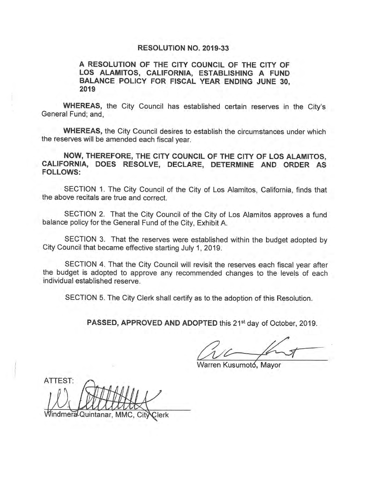#### RESOLUTION NO. 2019-33

## A RESOLUTION OF THE CITY COUNCIL OF THE CITY OF LOS ALAMITOS, CALIFORNIA, ESTABLISHING A FUND BALANCE POLICY FOR FISCAL YEAR ENDING JUNE 30, 2019

WHEREAS, the City Council has established certain reserves in the City's General Fund; and,

WHEREAS, the City Council desires to establish the circumstances under which the reserves will be amended each fiscal year.

NOW, THEREFORE, THE CITY COUNCIL OF THE CITY OF LOS ALAMITOS, CALIFORNIA, DOES RESOLVE, DECLARE, DETERMINE AND ORDER AS FOLLOWS:

SECTION 1. The City Council of the City of Los Alamitos, California, finds that the above recitals are true and correct.

SECTION 2. That the City Council of the City of Los Alamitos approves a fund balance policy for the General Fund of the City, Exhibit A.

SECTION 3. That the reserves were established within the budget adopted by City Council that became effective starting July 1, 2019.

SECTION 4. That the City Council will revisit the reserves each fiscal year after the budget is adopted to approve any recommended changes to the levels of each individual established reserve.

SECTION 5. The City Clerk shall certify as to the adoption of this Resolution.

PASSED, APPROVED AND ADOPTED this 21<sup>st</sup> day of October, 2019.

 $\tilde{\iota}$ 

Warren Kusumotó, Mayor

ATTEST: THAH  $0$ Windmera Quintanar, MMC, Cit NClerk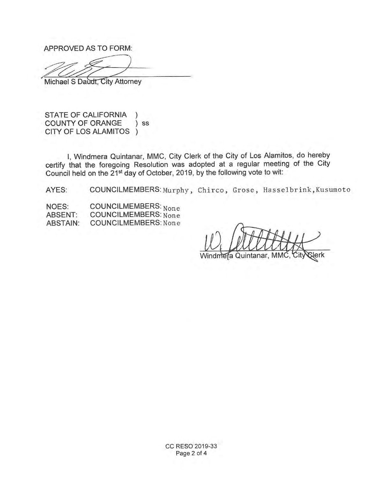APPROVED AS TO FORM:

 $\begin{matrix} \begin{matrix} 0 \\ 0 \\ 0 \\ 0 \end{matrix} \end{matrix}$ 

Michael S Daudt, City Attorney

STATE OF CALIFORNIA ) COUNTY OF ORANGE ) ss CITY OF LOS ALAMITOS )

I, Windmera Quintanar, MMC, City Clerk of the City of Los Alamitos, do hereby certify that the foregoing Resolution was adopted at a regular meeting of the City Council held on the 21<sup>st</sup> day of October, 2019, by the following vote to wit:

AYES: COUNCILMEMBERS: Murphy, Chirco, Grose, Hasselbrink, Kusumoto

NOES: COUNCILMEMBERS: None<br>ABSENT: COUNCILMEMBERS: None ABSENT: COUNCILMEMBERS: None<br>ABSTAIN: COUNCILMEMBERS: None COUNCILMEMBERS: None

artitt

era Quintanar,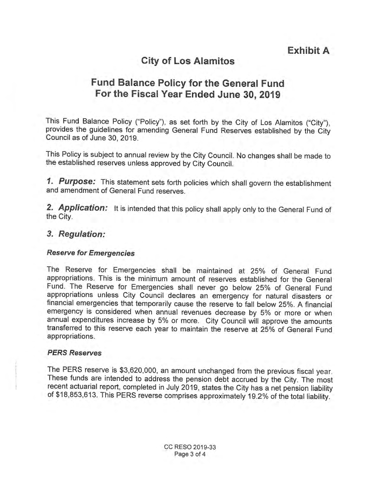# City of Los Alamitos

# Fund Balance Policy for the General Fund For the Fiscal Year Ended June 30, 2019

This Fund Balance Policy ("Policy"), as set forth by the City of Los Alamitos ("City"), provides the guidelines for amending General Fund Reserves established by the City Council as of June 30, 2019.

This Policy is subject to annual review by the City Council. No changes shall be made to the established reserves unless approved by City Council.

1. Purpose: This statement sets forth policies which shall govern the establishment and amendment of General Fund reserves.

2. Application: It is intended that this policy shall apply only to the General Fund of the City.

## 3. Regulation:

## Reserve for Emergencies

The Reserve for Emergencies shall be maintained at 25% of General Fund appropriations. This is the minimum amount of reserves established for the General Fund. The Reserve for Emergencies shall never go below 25% of General Fund appropriations unless City Council declares an emergency for natural disasters or financial emergencies that temporarily cause the reserve to fall below 25%. A financial emergency is considered when annual revenues decrease by 5% or more or when annual expenditures increase by 5% or more. City Council will approve the amounts transferred to this reserve each year to maintain the reserve at 25% of General Fund appropriations.

### PERS Reserves

The PERS reserve is \$3,620,000, an amount unchanged from the previous fiscal year. These funds are intended to address the pension debt accrued by the City. The most recent actuarial report, completed in July 2019, states the City has a net pension liability of \$18,853,613. This PERS reverse comprises approximately 19.2% of the total liability.